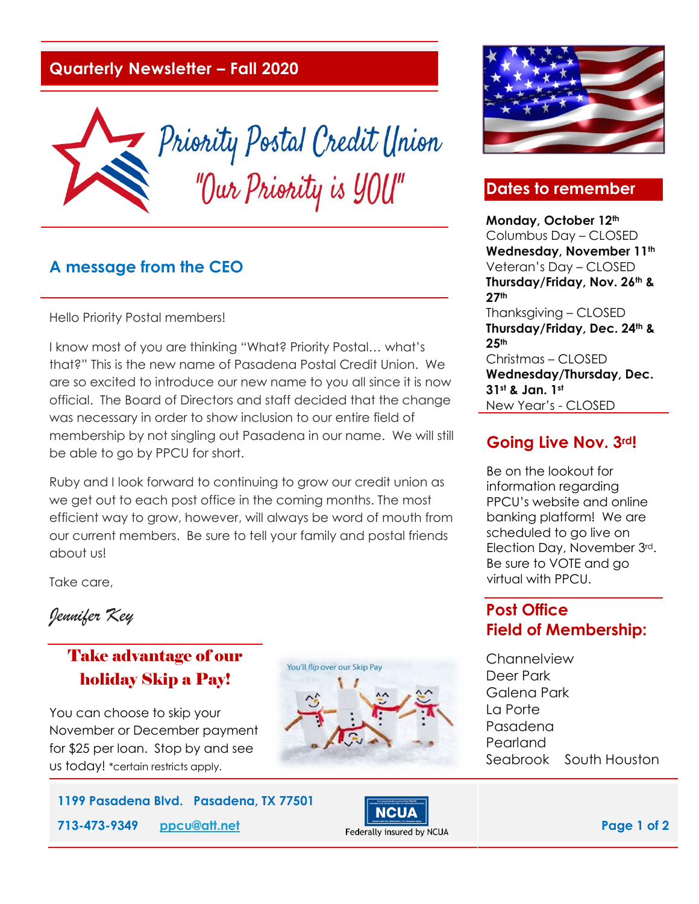#### **Quarterly Newsletter – Fall 2020**



#### **A message from the CEO**

Hello Priority Postal members!

I know most of you are thinking "What? Priority Postal… what's that?" This is the new name of Pasadena Postal Credit Union. We are so excited to introduce our new name to you all since it is now official. The Board of Directors and staff decided that the change was necessary in order to show inclusion to our entire field of membership by not singling out Pasadena in our name. We will still be able to go by PPCU for short.

Ruby and I look forward to continuing to grow our credit union as we get out to each post office in the coming months. The most efficient way to grow, however, will always be word of mouth from our current members. Be sure to tell your family and postal friends about us!

Take care,

*Jennifer Key* 

# Take advantage of our holiday Skip a Pay!

You can choose to skip your November or December payment for \$25 per loan. Stop by and see us today! \*certain restricts apply.







### **Going Live Nov. 3rd!**

Be on the lookout for information regarding PPCU's website and online banking platform! We are scheduled to go live on Election Day, November 3rd. Be sure to VOTE and go virtual with PPCU.

### **Post Office Field of Membership:**

**Channelview** Deer Park Galena Park La Porte Pasadena Pearland Seabrook South Houston





# **Dates to remember**

**Monday, October 12th**

Columbus Day – CLOSED **Wednesday, November 11th** Veteran's Day – CLOSED **Thursday/Friday, Nov. 26th & 27th** Thanksgiving – CLOSED **Thursday/Friday, Dec. 24th & 25th** Christmas – CLOSED **Wednesday/Thursday, Dec.**  New Year's - CLOSED